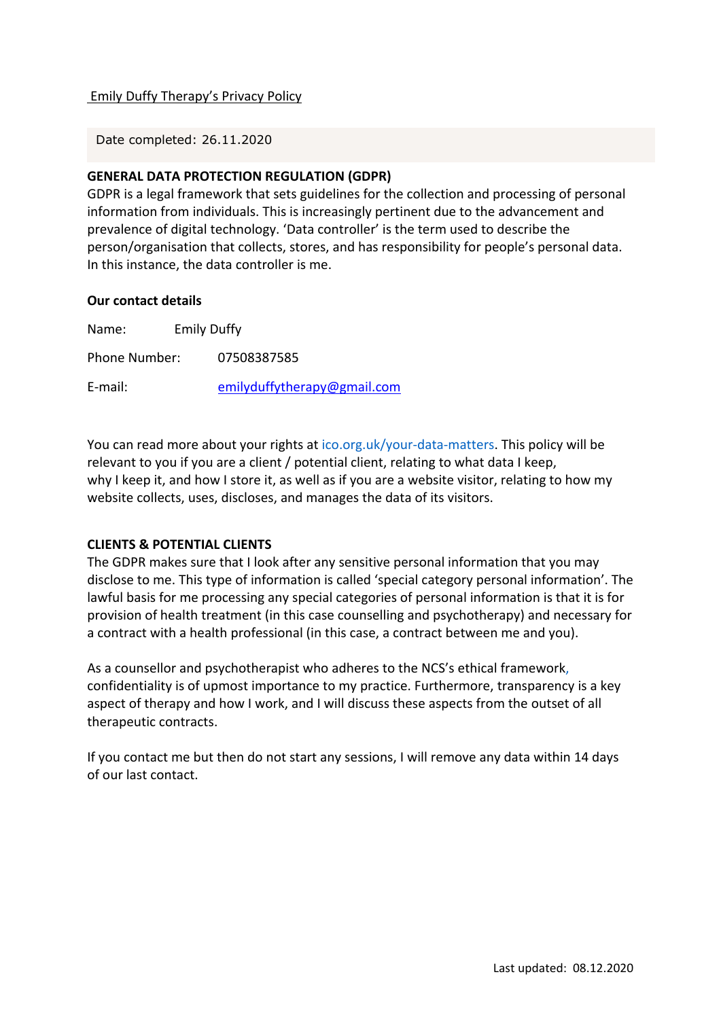## Emily Duffy Therapy's Privacy Policy

Date completed: 26.11.2020

# **GENERAL DATA PROTECTION REGULATION (GDPR)**

GDPR is a legal framework that sets guidelines for the collection and processing of personal information from individuals. This is increasingly pertinent due to the advancement and prevalence of digital technology. 'Data controller' is the term used to describe the person/organisation that collects, stores, and has responsibility for people's personal data. In this instance, the data controller is me.

#### **Our contact details**

| Name:         | <b>Emily Duffy</b> |                             |
|---------------|--------------------|-----------------------------|
| Phone Number: |                    | 07508387585                 |
| E-mail:       |                    | emilyduffytherapy@gmail.com |

You can read more about your rights at ico.org.uk/your-data-matters. This policy will be relevant to you if you are a client / potential client, relating to what data I keep, why I keep it, and how I store it, as well as if you are a website visitor, relating to how my website collects, uses, discloses, and manages the data of its visitors.

## **CLIENTS & POTENTIAL CLIENTS**

The GDPR makes sure that I look after any sensitive personal information that you may disclose to me. This type of information is called 'special category personal information'. The lawful basis for me processing any special categories of personal information is that it is for provision of health treatment (in this case counselling and psychotherapy) and necessary for a contract with a health professional (in this case, a contract between me and you).

As a counsellor and psychotherapist who adheres to the NCS's ethical framework, confidentiality is of upmost importance to my practice. Furthermore, transparency is a key aspect of therapy and how I work, and I will discuss these aspects from the outset of all therapeutic contracts.

If you contact me but then do not start any sessions, I will remove any data within 14 days of our last contact.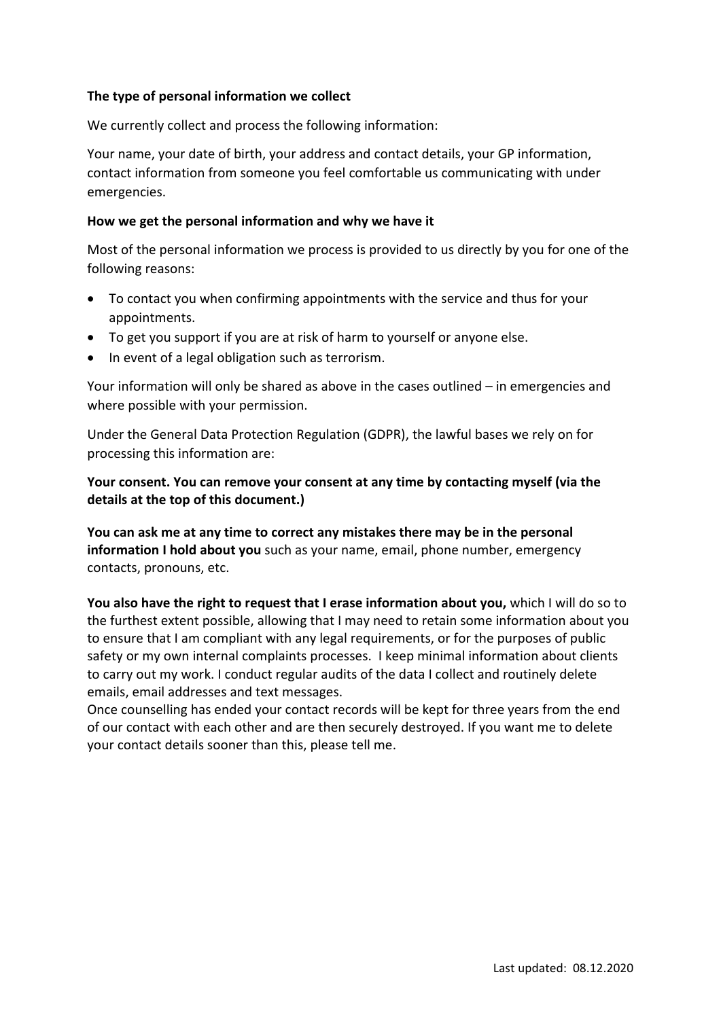# **The type of personal information we collect**

We currently collect and process the following information:

Your name, your date of birth, your address and contact details, your GP information, contact information from someone you feel comfortable us communicating with under emergencies.

## **How we get the personal information and why we have it**

Most of the personal information we process is provided to us directly by you for one of the following reasons:

- To contact you when confirming appointments with the service and thus for your appointments.
- To get you support if you are at risk of harm to yourself or anyone else.
- In event of a legal obligation such as terrorism.

Your information will only be shared as above in the cases outlined – in emergencies and where possible with your permission.

Under the General Data Protection Regulation (GDPR), the lawful bases we rely on for processing this information are:

**Your consent. You can remove your consent at any time by contacting myself (via the details at the top of this document.)**

**You can ask me at any time to correct any mistakes there may be in the personal information I hold about you** such as your name, email, phone number, emergency contacts, pronouns, etc.

**You also have the right to request that I erase information about you,** which I will do so to the furthest extent possible, allowing that I may need to retain some information about you to ensure that I am compliant with any legal requirements, or for the purposes of public safety or my own internal complaints processes. I keep minimal information about clients to carry out my work. I conduct regular audits of the data I collect and routinely delete emails, email addresses and text messages.

Once counselling has ended your contact records will be kept for three years from the end of our contact with each other and are then securely destroyed. If you want me to delete your contact details sooner than this, please tell me.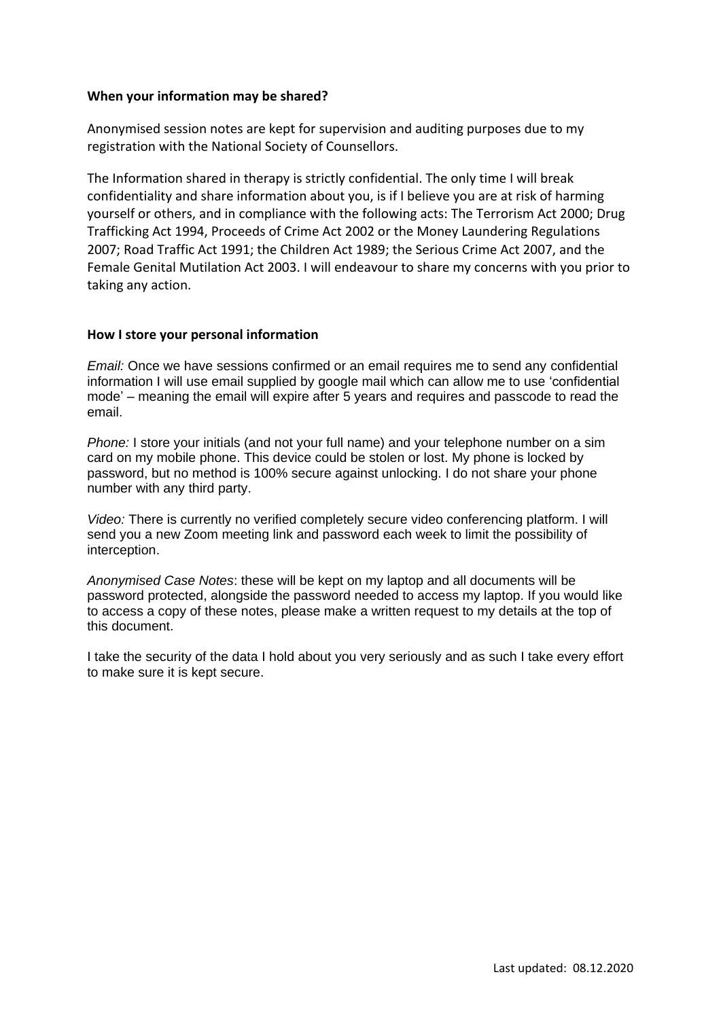### **When your information may be shared?**

Anonymised session notes are kept for supervision and auditing purposes due to my registration with the National Society of Counsellors.

The Information shared in therapy is strictly confidential. The only time I will break confidentiality and share information about you, is if I believe you are at risk of harming yourself or others, and in compliance with the following acts: The Terrorism Act 2000; Drug Trafficking Act 1994, Proceeds of Crime Act 2002 or the Money Laundering Regulations 2007; Road Traffic Act 1991; the Children Act 1989; the Serious Crime Act 2007, and the Female Genital Mutilation Act 2003. I will endeavour to share my concerns with you prior to taking any action.

#### **How I store your personal information**

*Email:* Once we have sessions confirmed or an email requires me to send any confidential information I will use email supplied by google mail which can allow me to use 'confidential mode' – meaning the email will expire after 5 years and requires and passcode to read the email.

*Phone:* I store your initials (and not your full name) and your telephone number on a sim card on my mobile phone. This device could be stolen or lost. My phone is locked by password, but no method is 100% secure against unlocking. I do not share your phone number with any third party.

*Video:* There is currently no verified completely secure video conferencing platform. I will send you a new Zoom meeting link and password each week to limit the possibility of interception.

*Anonymised Case Notes*: these will be kept on my laptop and all documents will be password protected, alongside the password needed to access my laptop. If you would like to access a copy of these notes, please make a written request to my details at the top of this document.

I take the security of the data I hold about you very seriously and as such I take every effort to make sure it is kept secure.